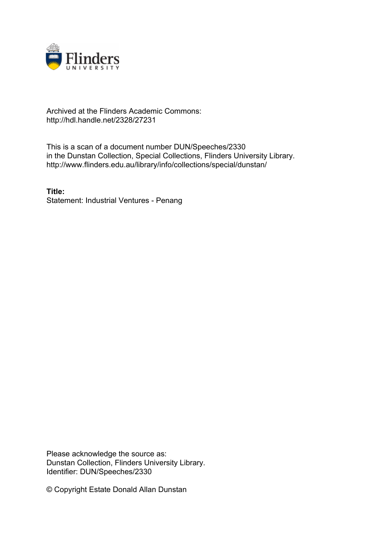

## Archived at the Flinders Academic Commons: http://hdl.handle.net/2328/27231

This is a scan of a document number DUN/Speeches/2330 in the Dunstan Collection, Special Collections, Flinders University Library. http://www.flinders.edu.au/library/info/collections/special/dunstan/

**Title:** Statement: Industrial Ventures - Penang

Please acknowledge the source as: Dunstan Collection, Flinders University Library. Identifier: DUN/Speeches/2330

© Copyright Estate Donald Allan Dunstan